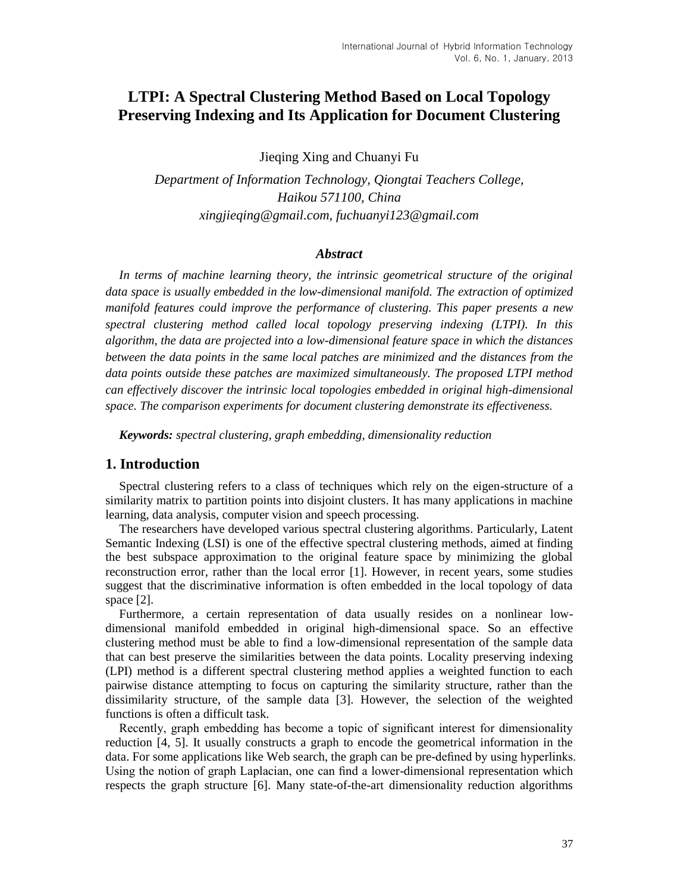# **LTPI: A Spectral Clustering Method Based on Local Topology Preserving Indexing and Its Application for Document Clustering**

Jieqing Xing and Chuanyi Fu

*Department of Information Technology, Qiongtai Teachers College, Haikou 571100, China xingjieqing@gmail.com, fuchuanyi123@gmail.com*

# *Abstract*

*In terms of machine learning theory, the intrinsic geometrical structure of the original data space is usually embedded in the low-dimensional manifold. The extraction of optimized manifold features could improve the performance of clustering. This paper presents a new spectral clustering method called local topology preserving indexing (LTPI). In this algorithm, the data are projected into a low-dimensional feature space in which the distances between the data points in the same local patches are minimized and the distances from the data points outside these patches are maximized simultaneously. The proposed LTPI method can effectively discover the intrinsic local topologies embedded in original high-dimensional space. The comparison experiments for document clustering demonstrate its effectiveness.*

*Keywords: spectral clustering, graph embedding, dimensionality reduction*

# **1. Introduction**

Spectral clustering refers to a class of techniques which rely on the eigen-structure of a similarity matrix to partition points into disjoint clusters. It has many applications in machine learning, data analysis, computer vision and speech processing.

The researchers have developed various spectral clustering algorithms. Particularly, Latent Semantic Indexing (LSI) is one of the effective spectral clustering methods, aimed at finding the best subspace approximation to the original feature space by minimizing the global reconstruction error, rather than the local error [1]. However, in recent years, some studies suggest that the discriminative information is often embedded in the local topology of data space [2].

Furthermore, a certain representation of data usually resides on a nonlinear lowdimensional manifold embedded in original high-dimensional space. So an effective clustering method must be able to find a low-dimensional representation of the sample data that can best preserve the similarities between the data points. Locality preserving indexing (LPI) method is a different spectral clustering method applies a weighted function to each pairwise distance attempting to focus on capturing the similarity structure, rather than the dissimilarity structure, of the sample data [3]. However, the selection of the weighted functions is often a difficult task.

Recently, graph embedding has become a topic of significant interest for dimensionality reduction [4, 5]. It usually constructs a graph to encode the geometrical information in the data. For some applications like Web search, the graph can be pre-defined by using hyperlinks. Using the notion of graph Laplacian, one can find a lower-dimensional representation which respects the graph structure [6]. Many state-of-the-art dimensionality reduction algorithms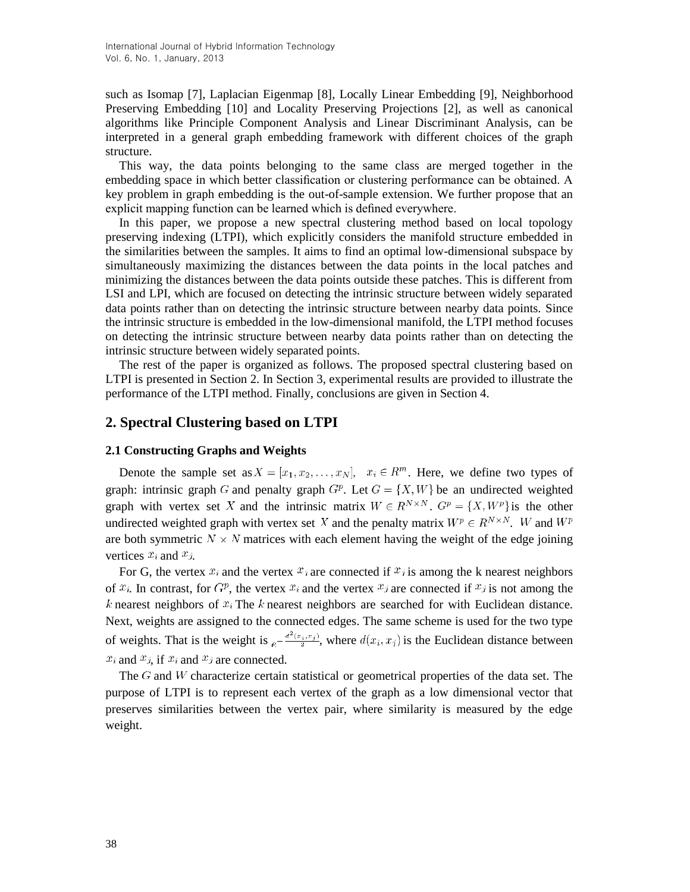such as Isomap [7], Laplacian Eigenmap [8], Locally Linear Embedding [9], Neighborhood Preserving Embedding [10] and Locality Preserving Projections [2], as well as canonical algorithms like Principle Component Analysis and Linear Discriminant Analysis, can be interpreted in a general graph embedding framework with different choices of the graph structure.

This way, the data points belonging to the same class are merged together in the embedding space in which better classification or clustering performance can be obtained. A key problem in graph embedding is the out-of-sample extension. We further propose that an explicit mapping function can be learned which is defined everywhere.

In this paper, we propose a new spectral clustering method based on local topology preserving indexing (LTPI), which explicitly considers the manifold structure embedded in the similarities between the samples. It aims to find an optimal low-dimensional subspace by simultaneously maximizing the distances between the data points in the local patches and minimizing the distances between the data points outside these patches. This is different from LSI and LPI, which are focused on detecting the intrinsic structure between widely separated data points rather than on detecting the intrinsic structure between nearby data points. Since the intrinsic structure is embedded in the low-dimensional manifold, the LTPI method focuses on detecting the intrinsic structure between nearby data points rather than on detecting the intrinsic structure between widely separated points.

The rest of the paper is organized as follows. The proposed spectral clustering based on LTPI is presented in Section 2. In Section 3, experimental results are provided to illustrate the performance of the LTPI method. Finally, conclusions are given in Section 4.

### **2. Spectral Clustering based on LTPI**

### **2.1 Constructing Graphs and Weights**

Denote the sample set as  $X = [x_1, x_2, \dots, x_N], x_i \in \mathbb{R}^m$ . Here, we define two types of graph: intrinsic graph G and penalty graph  $G^p$ . Let  $G = \{X, W\}$  be an undirected weighted graph with vertex set X and the intrinsic matrix  $W \in R^{N \times N}$ .  $G^p = \{X, W^p\}$  is the other undirected weighted graph with vertex set X and the penalty matrix  $W^p \in R^{N \times N}$ . W and  $W^p$ are both symmetric  $N \times N$  matrices with each element having the weight of the edge joining vertices  $x_i$  and  $x_j$ .

For G, the vertex  $x_i$  and the vertex  $x_j$  are connected if  $x_j$  is among the k nearest neighbors of  $x_i$ . In contrast, for  $G^p$ , the vertex  $x_i$  and the vertex  $x_j$  are connected if  $x_j$  is not among the k nearest neighbors of  $x_i$ . The k nearest neighbors are searched for with Euclidean distance. Next, weights are assigned to the connected edges. The same scheme is used for the two type of weights. That is the weight is  $e^{-\frac{d^2(x_i, x_j)}{2}}$ , where  $d(x_i, x_j)$  is the Euclidean distance between  $x_i$  and  $x_j$ , if  $x_i$  and  $x_j$  are connected.

The  $G$  and W characterize certain statistical or geometrical properties of the data set. The purpose of LTPI is to represent each vertex of the graph as a low dimensional vector that preserves similarities between the vertex pair, where similarity is measured by the edge weight.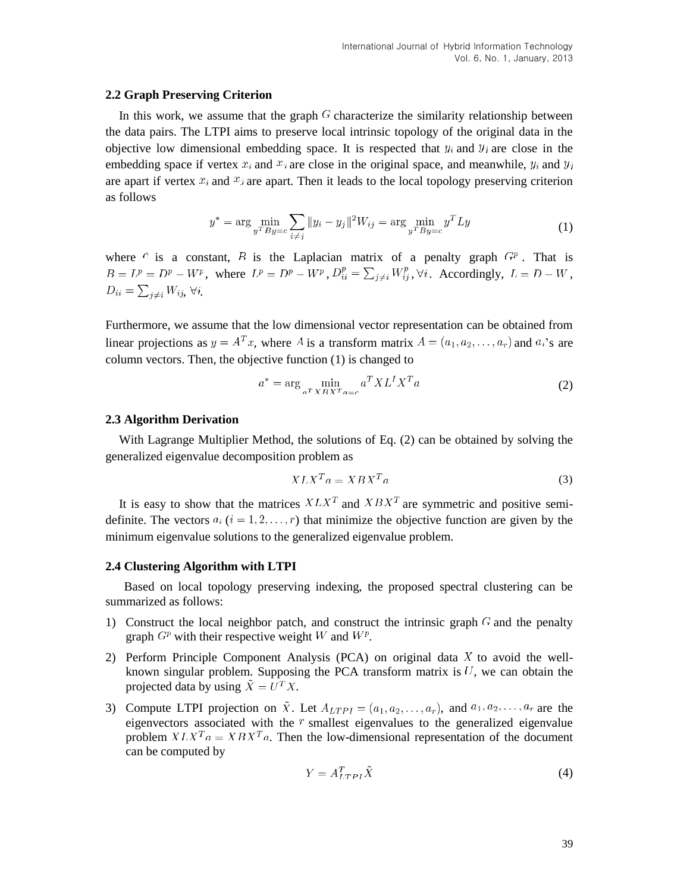#### **2.2 Graph Preserving Criterion**

In this work, we assume that the graph  $G$  characterize the similarity relationship between the data pairs. The LTPI aims to preserve local intrinsic topology of the original data in the objective low dimensional embedding space. It is respected that  $y_i$  and  $y_j$  are close in the embedding space if vertex  $x_i$  and  $x_j$  are close in the original space, and meanwhile,  $y_i$  and  $y_j$ are apart if vertex  $x_i$  and  $x_j$  are apart. Then it leads to the local topology preserving criterion as follows

$$
y^* = \arg\min_{y^T B y = c} \sum_{i \neq j} \|y_i - y_j\|^2 W_{ij} = \arg\min_{y^T B y = c} y^T L y \tag{1}
$$

where  $c$  is a constant,  $B$  is the Laplacian matrix of a penalty graph  $G<sup>p</sup>$ . That is  $B = L^p = D^p - W^p$ , where  $L^p = D^p - W^p$ ,  $D_{ii}^p = \sum_{i \neq i} W_{ij}^p$ ,  $\forall i$ . Accordingly,  $L = D - W$ ,  $D_{ii} = \sum_{i \neq i} W_{ij}, \forall i$ .

Furthermore, we assume that the low dimensional vector representation can be obtained from linear projections as  $y = A^T x$ , where A is a transform matrix  $A = (a_1, a_2, \dots, a_r)$  and  $a_i$ 's are column vectors. Then, the objective function (1) is changed to

$$
a^* = \arg\min_{a^T X B X^T a = c} a^T X L^I X^T a \tag{2}
$$

#### **2.3 Algorithm Derivation**

With Lagrange Multiplier Method, the solutions of Eq. (2) can be obtained by solving the generalized eigenvalue decomposition problem as

$$
XLX^T a = XBX^T a \tag{3}
$$

It is easy to show that the matrices  $X L X^T$  and  $X B X^T$  are symmetric and positive semidefinite. The vectors  $a_i$   $(i = 1, 2, ..., r)$  that minimize the objective function are given by the minimum eigenvalue solutions to the generalized eigenvalue problem.

### **2.4 Clustering Algorithm with LTPI**

Based on local topology preserving indexing, the proposed spectral clustering can be summarized as follows:

- 1) Construct the local neighbor patch, and construct the intrinsic graph  $G$  and the penalty graph  $G^p$  with their respective weight W and  $W^p$ .
- 2) Perform Principle Component Analysis (PCA) on original data  $X$  to avoid the wellknown singular problem. Supposing the PCA transform matrix is  $U$ , we can obtain the projected data by using  $\tilde{X} = U^T X$ .
- 3) Compute LTPI projection on  $\tilde{X}$ . Let  $A_{LTPI} = (a_1, a_2, \ldots, a_r)$ , and  $a_1, a_2, \ldots, a_r$  are the eigenvectors associated with the  $\bar{r}$  smallest eigenvalues to the generalized eigenvalue problem  $X L X^{T} a = X B X^{T} a$ . Then the low-dimensional representation of the document can be computed by

$$
Y = A_{LTPI}^T \tilde{X}
$$
 (4)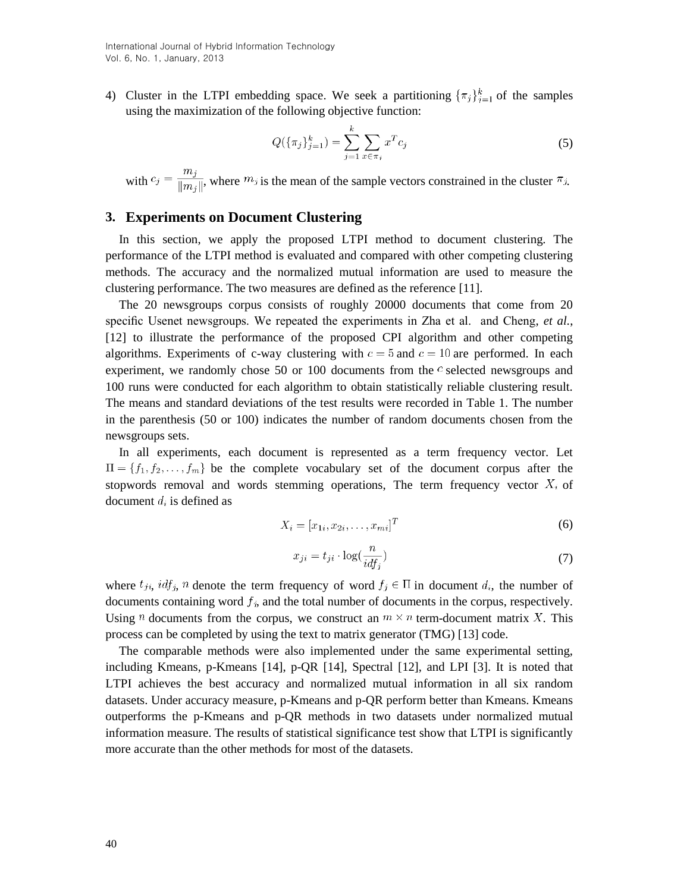4) Cluster in the LTPI embedding space. We seek a partitioning  $\{\pi_j\}_{j=1}^k$  of the samples using the maximization of the following objective function:

$$
Q(\{\pi_j\}_{j=1}^k) = \sum_{j=1}^k \sum_{x \in \pi_j} x^T c_j
$$
\n(5)

with  $c_j = \frac{m_j}{||m_i||}$ , where  $m_j$  is the mean of the sample vectors constrained in the cluster  $\pi_j$ .

### **3. Experiments on Document Clustering**

In this section, we apply the proposed LTPI method to document clustering. The performance of the LTPI method is evaluated and compared with other competing clustering methods. The accuracy and the normalized mutual information are used to measure the clustering performance. The two measures are defined as the reference [11].

The 20 newsgroups corpus consists of roughly 20000 documents that come from 20 specific Usenet newsgroups. We repeated the experiments in Zha et al. and Cheng, *et al.*, [12] to illustrate the performance of the proposed CPI algorithm and other competing algorithms. Experiments of c-way clustering with  $c = 5$  and  $c = 10$  are performed. In each experiment, we randomly chose 50 or 100 documents from the  $\epsilon$  selected newsgroups and 100 runs were conducted for each algorithm to obtain statistically reliable clustering result. The means and standard deviations of the test results were recorded in Table 1. The number in the parenthesis (50 or 100) indicates the number of random documents chosen from the newsgroups sets.

In all experiments, each document is represented as a term frequency vector. Let  $\Pi = \{f_1, f_2, \ldots, f_m\}$  be the complete vocabulary set of the document corpus after the stopwords removal and words stemming operations. The term frequency vector  $X_i$  of document  $d_i$  is defined as

$$
X_i = [x_{1i}, x_{2i}, \dots, x_{mi}]^T
$$
 (6)

$$
x_{ji} = t_{ji} \cdot \log(\frac{n}{idf_j})
$$
\n(7)

where  $t_{ji}$ ,  $idf_j$ , n denote the term frequency of word  $f_j \in \Pi$  in document  $d_i$ , the number of documents containing word  $f_j$ , and the total number of documents in the corpus, respectively. Using *n* documents from the corpus, we construct an  $m \times n$  term-document matrix X. This process can be completed by using the text to matrix generator (TMG) [13] code.

The comparable methods were also implemented under the same experimental setting, including Kmeans, p-Kmeans [14], p-QR [14], Spectral [12], and LPI [3]. It is noted that LTPI achieves the best accuracy and normalized mutual information in all six random datasets. Under accuracy measure, p-Kmeans and p-QR perform better than Kmeans. Kmeans outperforms the p-Kmeans and p-QR methods in two datasets under normalized mutual information measure. The results of statistical significance test show that LTPI is significantly more accurate than the other methods for most of the datasets.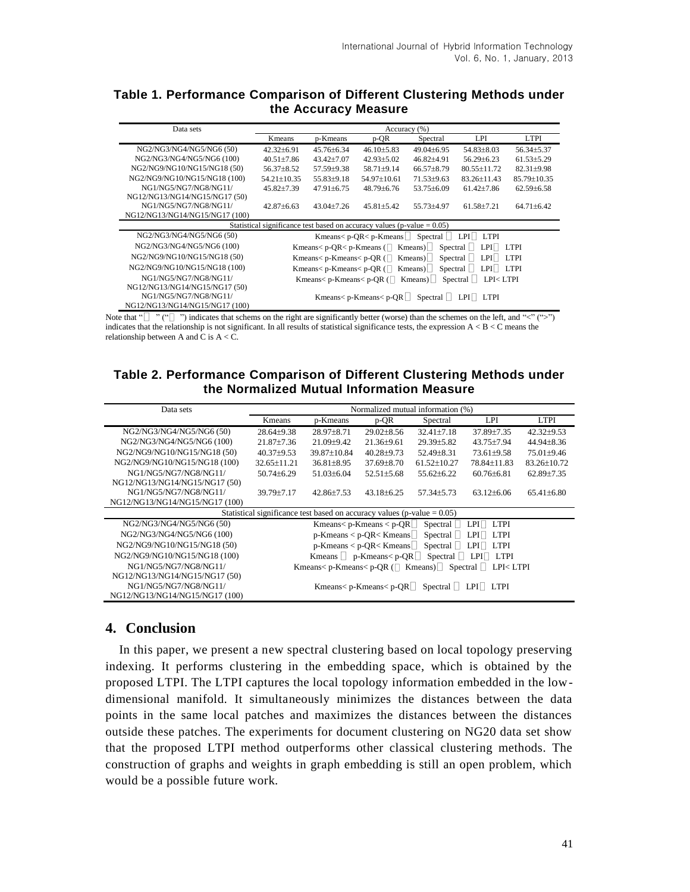# **Table 1. Performance Comparison of Different Clustering Methods under the Accuracy Measure**

| Data sets                                                                   | Accuracy (%)                                                                                                     |                |                |                  |                   |                  |  |  |  |
|-----------------------------------------------------------------------------|------------------------------------------------------------------------------------------------------------------|----------------|----------------|------------------|-------------------|------------------|--|--|--|
|                                                                             | Kmeans                                                                                                           | p-Kmeans       | p-QR           | Spectral         | LPI               | <b>LTPI</b>      |  |  |  |
| NG2/NG3/NG4/NG5/NG6 (50)                                                    | $42.32 \pm 6.91$                                                                                                 | $45.76 + 6.34$ | $46.10\pm5.83$ | $49.04\pm6.95$   | 54.83±8.03        | 56.34±5.37       |  |  |  |
| NG2/NG3/NG4/NG5/NG6 (100)                                                   | $40.51 \pm 7.86$                                                                                                 | $43.42 + 7.07$ | $42.93 + 5.02$ | $46.82 + 4.91$   | $56.29 \pm 6.23$  | $61.53 + 5.29$   |  |  |  |
| NG2/NG9/NG10/NG15/NG18 (50)                                                 | $56.37 \pm 8.52$                                                                                                 | 57.59±9.38     | 58.71±9.14     | $66.57 \pm 8.79$ | $80.55 \pm 11.72$ | $82.31 \pm 9.98$ |  |  |  |
| NG2/NG9/NG10/NG15/NG18 (100)                                                | 54.21±10.35                                                                                                      | 55.83±9.18     | 54.97±10.61    | 71.53±9.63       | 83.26±11.43       | 85.79±10.35      |  |  |  |
| NG1/NG5/NG7/NG8/NG11/                                                       | $45.82{\pm}7.39$                                                                                                 | $47.91 + 6.75$ | $48.79 + 6.76$ | $53.75 + 6.09$   | $61.42 + 7.86$    | $62.59 + 6.58$   |  |  |  |
| NG12/NG13/NG14/NG15/NG17 (50)                                               |                                                                                                                  |                |                |                  |                   |                  |  |  |  |
| NG1/NG5/NG7/NG8/NG11/                                                       | $42.87\pm6.63$                                                                                                   | $43.04 + 7.26$ | $45.81 + 5.42$ | 55.73+4.97       | $61.58 + 7.21$    | $64.71 + 6.42$   |  |  |  |
| NG12/NG13/NG14/NG15/NG17 (100)                                              |                                                                                                                  |                |                |                  |                   |                  |  |  |  |
| Statistical significance test based on accuracy values ( $p$ -value = 0.05) |                                                                                                                  |                |                |                  |                   |                  |  |  |  |
| NG2/NG3/NG4/NG5/NG6 (50)                                                    | Kmeans< $p$ -OR $\lt p$ -Kmeans<br>Spectral<br>LPI<br>LTPI                                                       |                |                |                  |                   |                  |  |  |  |
| NG2/NG3/NG4/NG5/NG6 (100)                                                   | Kmeans<br>< p-QR< p-Kmeans ( $\Box$ Kmeans) $\Box$<br>Spectral<br>LPI<br>                                        |                |                |                  |                   |                  |  |  |  |
| NG2/NG9/NG10/NG15/NG18 (50)                                                 | Kmeans<br>$p$ -Kmeans<br>$p$ -OR ( $\Box$<br>$K$ means)<br>Spectral<br>LPI    <br><b>LTPI</b>                    |                |                |                  |                   |                  |  |  |  |
| NG2/NG9/NG10/NG15/NG18 (100)                                                | Kmeans<br>$p$ -Kmeans<br>$p$ -OR ( $\Box$<br>$K$ means)<br>Spectral<br>LPI LTPI                                  |                |                |                  |                   |                  |  |  |  |
| NG1/NG5/NG7/NG8/NG11/                                                       | Kmeans<br>$\triangleright$ P-Kmeans<br>$\triangleright$ D-OR ( $\triangleright$ Kmeans)<br>Spectral<br>LPI< LTPI |                |                |                  |                   |                  |  |  |  |
| NG12/NG13/NG14/NG15/NG17 (50)                                               |                                                                                                                  |                |                |                  |                   |                  |  |  |  |
| NG1/NG5/NG7/NG8/NG11/                                                       | Kmeans< $p$ -Kmeans< $p$ -OR $\Box$<br>Spectral<br>$LPI$   <br>LTPI                                              |                |                |                  |                   |                  |  |  |  |
| NG12/NG13/NG14/NG15/NG17 (100)                                              |                                                                                                                  |                |                |                  |                   |                  |  |  |  |

Note that " $\Box$ " (" $\Box$ ") indicates that schems on the right are significantly better (worse) than the schemes on the left, and " $\lt"$ " (">") indicates that the relationship is not significant. In all results of statistical significance tests, the expression  $A < B < C$  means the relationship between A and  $\tilde{C}$  is  $A < \tilde{C}$ .

### **Table 2. Performance Comparison of Different Clustering Methods under the Normalized Mutual Information Measure**

| Data sets                                                                  | Normalized mutual information (%)                               |                  |                  |                  |                  |                  |  |  |  |
|----------------------------------------------------------------------------|-----------------------------------------------------------------|------------------|------------------|------------------|------------------|------------------|--|--|--|
|                                                                            | Kmeans                                                          | p-Kmeans         | p-QR             | Spectral         | LPI              | <b>LTPI</b>      |  |  |  |
| NG2/NG3/NG4/NG5/NG6 (50)                                                   | $28.64 \pm 9.38$                                                | $28.97 \pm 8.71$ | $29.02 \pm 8.56$ | $32.41 \pm 7.18$ | 37.89±7.35       | $42.32 \pm 9.53$ |  |  |  |
| NG2/NG3/NG4/NG5/NG6 (100)                                                  | $21.87 + 7.36$                                                  | $21.09 + 9.42$   | $21.36 + 9.61$   | $29.39 + 5.82$   | 43.75+7.94       | $44.94 \pm 8.36$ |  |  |  |
| NG2/NG9/NG10/NG15/NG18 (50)                                                | $40.37 \pm 9.53$                                                | 39.87±10.84      | $40.28 \pm 9.73$ | $52.49 \pm 8.31$ | $73.61 \pm 9.58$ | 75.01±9.46       |  |  |  |
| NG2/NG9/NG10/NG15/NG18 (100)                                               | $32.65 + 11.21$                                                 | $36.81 \pm 8.95$ | $37.69 \pm 8.70$ | $61.52 + 10.27$  | 78.84±11.83      | 83.26±10.72      |  |  |  |
| NG1/NG5/NG7/NG8/NG11/                                                      | $50.74 \pm 6.29$                                                | $51.03 + 6.04$   | $52.51 \pm 5.68$ | $55.62 \pm 6.22$ | $60.76 \pm 6.81$ | $62.89 \pm 7.35$ |  |  |  |
| NG12/NG13/NG14/NG15/NG17 (50)                                              |                                                                 |                  |                  |                  |                  |                  |  |  |  |
| NG1/NG5/NG7/NG8/NG11/                                                      | 39.79±7.17                                                      | $42.86 + 7.53$   | $43.18 + 6.25$   | 57.34+5.73       | $63.12 + 6.06$   | $65.41\pm 6.80$  |  |  |  |
| NG12/NG13/NG14/NG15/NG17 (100)                                             |                                                                 |                  |                  |                  |                  |                  |  |  |  |
| Statistical significance test based on accuracy values (p-value $= 0.05$ ) |                                                                 |                  |                  |                  |                  |                  |  |  |  |
| NG2/NG3/NG4/NG5/NG6 (50)                                                   | Kmeans<br>$p$ -Kmeans < p-QR $\Box$<br>Spectral<br>$LPI$ $LTPI$ |                  |                  |                  |                  |                  |  |  |  |
| NG2/NG3/NG4/NG5/NG6 (100)                                                  | $p$ -Kmeans < $p$ -OR< Kmeans<br>Spectral<br>$LPI$ $LTPI$       |                  |                  |                  |                  |                  |  |  |  |
| NG2/NG9/NG10/NG15/NG18 (50)                                                | $p-Kmeans < p-QR <$ Kmeans Spectral<br>$LPI$ $LTPI$             |                  |                  |                  |                  |                  |  |  |  |
| NG2/NG9/NG10/NG15/NG18 (100)                                               | Kmeans $\Box$ p-Kmeans< p-QR $\Box$ Spectral<br>$LPI$ $LTPI$    |                  |                  |                  |                  |                  |  |  |  |
| NG1/NG5/NG7/NG8/NG11/                                                      | Kmeans< p-Kmeans< p-OR $($   Kmeans)  Spectral $\Box$ LPI< LTPI |                  |                  |                  |                  |                  |  |  |  |
| NG12/NG13/NG14/NG15/NG17 (50)                                              |                                                                 |                  |                  |                  |                  |                  |  |  |  |
| NG1/NG5/NG7/NG8/NG11/                                                      | Kmeans< $p$ -Kmeans< $p$ -OR $\Box$<br>Spectral LPI LTPI        |                  |                  |                  |                  |                  |  |  |  |
| NG12/NG13/NG14/NG15/NG17 (100)                                             |                                                                 |                  |                  |                  |                  |                  |  |  |  |

# **4. Conclusion**

In this paper, we present a new spectral clustering based on local topology preserving indexing. It performs clustering in the embedding space, which is obtained by the proposed LTPI. The LTPI captures the local topology information embedded in the lowdimensional manifold. It simultaneously minimizes the distances between the data points in the same local patches and maximizes the distances between the distances outside these patches. The experiments for document clustering on NG20 data set show that the proposed LTPI method outperforms other classical clustering methods. The construction of graphs and weights in graph embedding is still an open problem, which would be a possible future work.